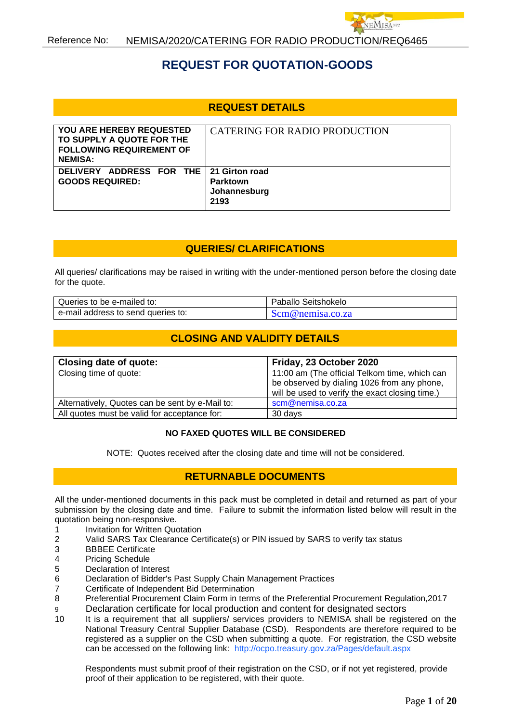

# **REQUEST FOR QUOTATION-GOODS**

## **REQUEST DETAILS**

| <b>YOU ARE HEREBY REQUESTED</b><br>TO SUPPLY A QUOTE FOR THE<br><b>FOLLOWING REQUIREMENT OF</b><br><b>NEMISA:</b> | <b>CATERING FOR RADIO PRODUCTION</b>    |
|-------------------------------------------------------------------------------------------------------------------|-----------------------------------------|
| DELIVERY ADDRESS FOR THE 21 Girton road<br><b>GOODS REQUIRED:</b>                                                 | <b>Parktown</b><br>Johannesburg<br>2193 |

## **QUERIES/ CLARIFICATIONS**

All queries/ clarifications may be raised in writing with the under-mentioned person before the closing date for the quote.

| Queries to be e-mailed to:         | Paballo Seitshokelo |
|------------------------------------|---------------------|
| e-mail address to send queries to: | Scm@nemisa.co.za    |

# **CLOSING AND VALIDITY DETAILS**

| Closing date of quote:                          | Friday, 23 October 2020                         |
|-------------------------------------------------|-------------------------------------------------|
| Closing time of quote:                          | 11:00 am (The official Telkom time, which can   |
|                                                 | be observed by dialing 1026 from any phone,     |
|                                                 | will be used to verify the exact closing time.) |
| Alternatively, Quotes can be sent by e-Mail to: | scm@nemisa.co.za                                |
| All quotes must be valid for acceptance for:    | 30 days                                         |

#### **NO FAXED QUOTES WILL BE CONSIDERED**

NOTE: Quotes received after the closing date and time will not be considered.

## **RETURNABLE DOCUMENTS**

All the under-mentioned documents in this pack must be completed in detail and returned as part of your submission by the closing date and time. Failure to submit the information listed below will result in the quotation being non-responsive.

- 1 Invitation for Written Quotation
- 2 Valid SARS Tax Clearance Certificate(s) or PIN issued by SARS to verify tax status
- 3 BBBEE Certificate
- 4 Pricing Schedule
- 5 Declaration of Interest
- 6 Declaration of Bidder's Past Supply Chain Management Practices
- 7 Certificate of Independent Bid Determination
- 8 Preferential Procurement Claim Form in terms of the Preferential Procurement Regulation,2017
- 9 Declaration certificate for local production and content for designated sectors
- 10 It is a requirement that all suppliers/ services providers to NEMISA shall be registered on the National Treasury Central Supplier Database (CSD). Respondents are therefore required to be registered as a supplier on the CSD when submitting a quote. For registration, the CSD website can be accessed on the following link: <http://ocpo.treasury.gov.za/Pages/default.aspx>

Respondents must submit proof of their registration on the CSD, or if not yet registered, provide proof of their application to be registered, with their quote.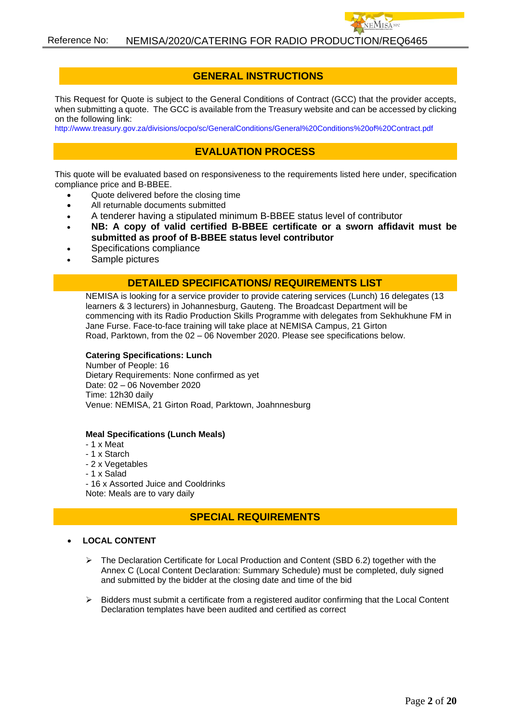### **GENERAL INSTRUCTIONS**

This Request for Quote is subject to the General Conditions of Contract (GCC) that the provider accepts, when submitting a quote. The GCC is available from the Treasury website and can be accessed by clicking on the following link:

<http://www.treasury.gov.za/divisions/ocpo/sc/GeneralConditions/General%20Conditions%20of%20Contract.pdf>

## **EVALUATION PROCESS**

This quote will be evaluated based on responsiveness to the requirements listed here under, specification compliance price and B-BBEE.

- Quote delivered before the closing time
- All returnable documents submitted
- A tenderer having a stipulated minimum B-BBEE status level of contributor
- **NB: A copy of valid certified B-BBEE certificate or a sworn affidavit must be submitted as proof of B-BBEE status level contributor**
- Specifications compliance
- Sample pictures

#### **DETAILED SPECIFICATIONS/ REQUIREMENTS LIST**

NEMISA is looking for a service provider to provide catering services (Lunch) 16 delegates (13 learners & 3 lecturers) in Johannesburg, Gauteng. The Broadcast Department will be commencing with its Radio Production Skills Programme with delegates from Sekhukhune FM in Jane Furse. Face-to-face training will take place at NEMISA Campus, 21 Girton Road, Parktown, from the 02 – 06 November 2020. Please see specifications below.

#### **Catering Specifications: Lunch**

Number of People: 16 Dietary Requirements: None confirmed as yet Date: 02 – 06 November 2020 Time: 12h30 daily Venue: NEMISA, 21 Girton Road, Parktown, Joahnnesburg

#### **Meal Specifications (Lunch Meals)**

- 1 x Meat
- 1 x Starch
- 2 x Vegetables
- 1 x Salad
- 16 x Assorted Juice and Cooldrinks Note: Meals are to vary daily

#### **SPECIAL REQUIREMENTS**

#### • **LOCAL CONTENT**

- ➢ The Declaration Certificate for Local Production and Content (SBD 6.2) together with the Annex C (Local Content Declaration: Summary Schedule) must be completed, duly signed and submitted by the bidder at the closing date and time of the bid
- ➢ Bidders must submit a certificate from a registered auditor confirming that the Local Content Declaration templates have been audited and certified as correct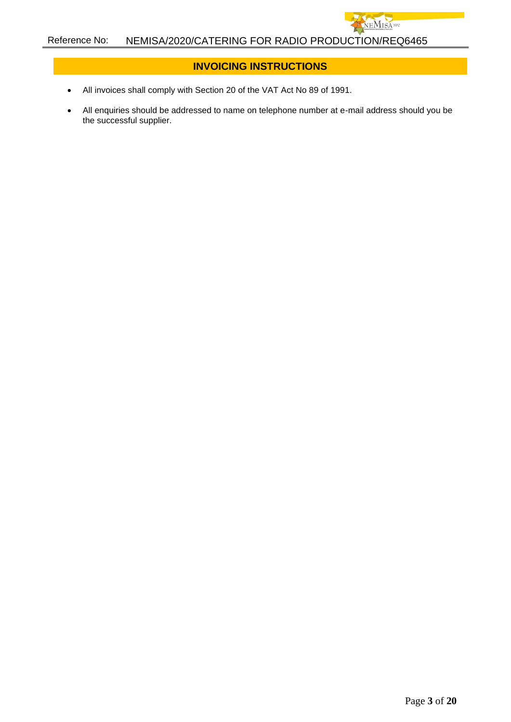## **INVOICING INSTRUCTIONS**

**IEMISA**NPO

- All invoices shall comply with Section 20 of the VAT Act No 89 of 1991.
- All enquiries should be addressed to name on telephone number at e-mail address should you be the successful supplier.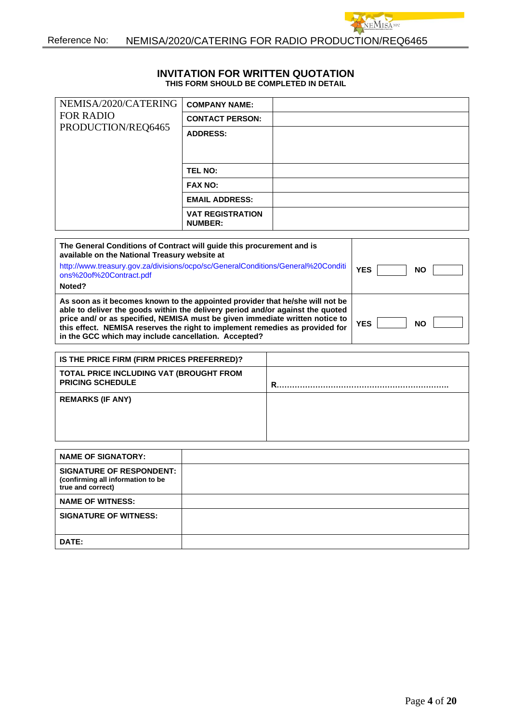#### **INVITATION FOR WRITTEN QUOTATION THIS FORM SHOULD BE COMPLETED IN DETAIL**

VEMISA<sup>NPC</sup>

| NEMISA/2020/CATERING                                                                                                                                                                                                                                                                                                                                                                                                                                                                                                                                                                                                                       | <b>COMPANY NAME:</b>                                                                  |  |                                                    |
|--------------------------------------------------------------------------------------------------------------------------------------------------------------------------------------------------------------------------------------------------------------------------------------------------------------------------------------------------------------------------------------------------------------------------------------------------------------------------------------------------------------------------------------------------------------------------------------------------------------------------------------------|---------------------------------------------------------------------------------------|--|----------------------------------------------------|
| <b>FOR RADIO</b>                                                                                                                                                                                                                                                                                                                                                                                                                                                                                                                                                                                                                           | <b>CONTACT PERSON:</b>                                                                |  |                                                    |
| PRODUCTION/REQ6465                                                                                                                                                                                                                                                                                                                                                                                                                                                                                                                                                                                                                         | <b>ADDRESS:</b>                                                                       |  |                                                    |
|                                                                                                                                                                                                                                                                                                                                                                                                                                                                                                                                                                                                                                            |                                                                                       |  |                                                    |
|                                                                                                                                                                                                                                                                                                                                                                                                                                                                                                                                                                                                                                            |                                                                                       |  |                                                    |
|                                                                                                                                                                                                                                                                                                                                                                                                                                                                                                                                                                                                                                            | <b>TEL NO:</b>                                                                        |  |                                                    |
|                                                                                                                                                                                                                                                                                                                                                                                                                                                                                                                                                                                                                                            | <b>FAX NO:</b>                                                                        |  |                                                    |
|                                                                                                                                                                                                                                                                                                                                                                                                                                                                                                                                                                                                                                            | <b>EMAIL ADDRESS:</b>                                                                 |  |                                                    |
|                                                                                                                                                                                                                                                                                                                                                                                                                                                                                                                                                                                                                                            | <b>VAT REGISTRATION</b><br><b>NUMBER:</b>                                             |  |                                                    |
| The General Conditions of Contract will guide this procurement and is<br>available on the National Treasury website at<br>http://www.treasury.gov.za/divisions/ocpo/sc/GeneralConditions/General%20Conditi<br>ons%20of%20Contract.pdf<br>Noted?<br>As soon as it becomes known to the appointed provider that he/she will not be<br>able to deliver the goods within the delivery period and/or against the quoted<br>price and/ or as specified, NEMISA must be given immediate written notice to<br>this effect. NEMISA reserves the right to implement remedies as provided for<br>in the GCC which may include cancellation. Accepted? |                                                                                       |  | <b>YES</b><br><b>NO</b><br><b>YES</b><br><b>NO</b> |
|                                                                                                                                                                                                                                                                                                                                                                                                                                                                                                                                                                                                                                            |                                                                                       |  |                                                    |
|                                                                                                                                                                                                                                                                                                                                                                                                                                                                                                                                                                                                                                            | IS THE PRICE FIRM (FIRM PRICES PREFERRED)?<br>TOTAL PRICE INCLUDING VAT (BROUGHT FROM |  |                                                    |
| <b>PRICING SCHEDULE</b>                                                                                                                                                                                                                                                                                                                                                                                                                                                                                                                                                                                                                    |                                                                                       |  |                                                    |
| <b>REMARKS (IF ANY)</b>                                                                                                                                                                                                                                                                                                                                                                                                                                                                                                                                                                                                                    |                                                                                       |  |                                                    |
|                                                                                                                                                                                                                                                                                                                                                                                                                                                                                                                                                                                                                                            |                                                                                       |  |                                                    |
|                                                                                                                                                                                                                                                                                                                                                                                                                                                                                                                                                                                                                                            |                                                                                       |  |                                                    |
|                                                                                                                                                                                                                                                                                                                                                                                                                                                                                                                                                                                                                                            |                                                                                       |  |                                                    |

| <b>NAME OF SIGNATORY:</b>                                                                 |  |
|-------------------------------------------------------------------------------------------|--|
| <b>SIGNATURE OF RESPONDENT:</b><br>(confirming all information to be<br>true and correct) |  |
| <b>NAME OF WITNESS:</b>                                                                   |  |
| <b>SIGNATURE OF WITNESS:</b>                                                              |  |
| DATE:                                                                                     |  |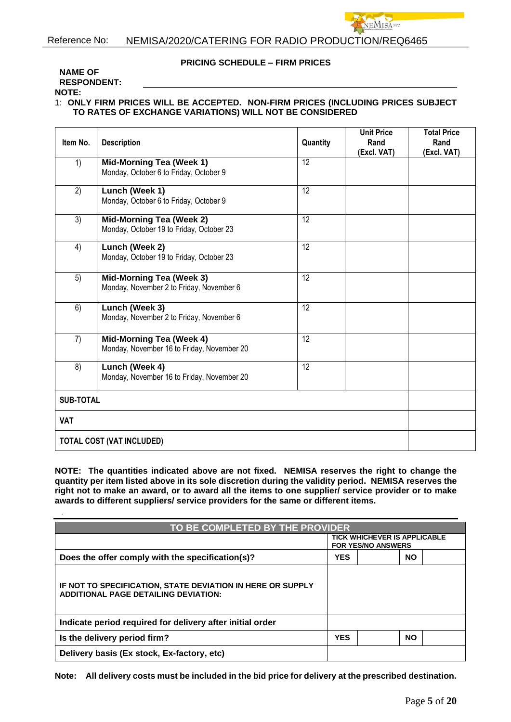#### **PRICING SCHEDULE – FIRM PRICES**

**MISANE** 

#### **NAME OF RESPONDENT:**

**NOTE:**

#### 1: **ONLY FIRM PRICES WILL BE ACCEPTED. NON-FIRM PRICES (INCLUDING PRICES SUBJECT TO RATES OF EXCHANGE VARIATIONS) WILL NOT BE CONSIDERED**

| Item No.                         | <b>Description</b>                                                          | Quantity        | <b>Unit Price</b><br>Rand<br>(Excl. VAT) | <b>Total Price</b><br>Rand<br>(Excl. VAT) |
|----------------------------------|-----------------------------------------------------------------------------|-----------------|------------------------------------------|-------------------------------------------|
| 1)                               | <b>Mid-Morning Tea (Week 1)</b><br>Monday, October 6 to Friday, October 9   | 12              |                                          |                                           |
| 2)                               | Lunch (Week 1)<br>Monday, October 6 to Friday, October 9                    | 12              |                                          |                                           |
| 3)                               | <b>Mid-Morning Tea (Week 2)</b><br>Monday, October 19 to Friday, October 23 | $\overline{12}$ |                                          |                                           |
| 4)                               | Lunch (Week 2)<br>Monday, October 19 to Friday, October 23                  | 12              |                                          |                                           |
| 5)                               | <b>Mid-Morning Tea (Week 3)</b><br>Monday, November 2 to Friday, November 6 | 12              |                                          |                                           |
| 6)                               | Lunch (Week 3)<br>Monday, November 2 to Friday, November 6                  | 12              |                                          |                                           |
| 7)                               | Mid-Morning Tea (Week 4)<br>Monday, November 16 to Friday, November 20      | 12              |                                          |                                           |
| 8)                               | Lunch (Week 4)<br>Monday, November 16 to Friday, November 20                | 12              |                                          |                                           |
| <b>SUB-TOTAL</b>                 |                                                                             |                 |                                          |                                           |
| <b>VAT</b>                       |                                                                             |                 |                                          |                                           |
| <b>TOTAL COST (VAT INCLUDED)</b> |                                                                             |                 |                                          |                                           |

**NOTE: The quantities indicated above are not fixed. NEMISA reserves the right to change the quantity per item listed above in its sole discretion during the validity period. NEMISA reserves the right not to make an award, or to award all the items to one supplier/ service provider or to make awards to different suppliers/ service providers for the same or different items.**

| TO BE COMPLETED BY THE PROVIDER                                                                           |                                                                  |  |           |  |
|-----------------------------------------------------------------------------------------------------------|------------------------------------------------------------------|--|-----------|--|
|                                                                                                           | <b>TICK WHICHEVER IS APPLICABLE</b><br><b>FOR YES/NO ANSWERS</b> |  |           |  |
| Does the offer comply with the specification(s)?                                                          | <b>YES</b>                                                       |  | <b>NO</b> |  |
| IF NOT TO SPECIFICATION, STATE DEVIATION IN HERE OR SUPPLY<br><b>ADDITIONAL PAGE DETAILING DEVIATION:</b> |                                                                  |  |           |  |
| Indicate period required for delivery after initial order                                                 |                                                                  |  |           |  |
| Is the delivery period firm?                                                                              | <b>YES</b>                                                       |  | <b>NO</b> |  |
| Delivery basis (Ex stock, Ex-factory, etc)                                                                |                                                                  |  |           |  |

**Note: All delivery costs must be included in the bid price for delivery at the prescribed destination.**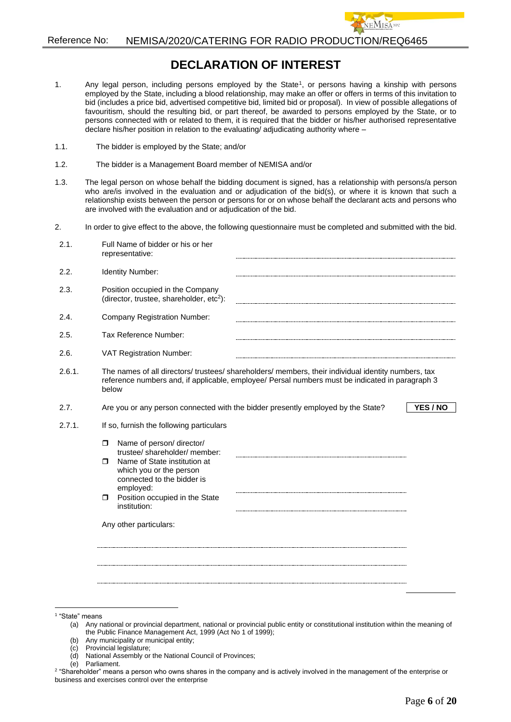# **DECLARATION OF INTEREST**

- 1. Any legal person, including persons employed by the State<sup>1</sup>, or persons having a kinship with persons employed by the State, including a blood relationship, may make an offer or offers in terms of this invitation to bid (includes a price bid, advertised competitive bid, limited bid or proposal). In view of possible allegations of favouritism, should the resulting bid, or part thereof, be awarded to persons employed by the State, or to persons connected with or related to them, it is required that the bidder or his/her authorised representative declare his/her position in relation to the evaluating/ adjudicating authority where –
- 1.1. The bidder is employed by the State; and/or
- 1.2. The bidder is a Management Board member of NEMISA and/or
- 1.3. The legal person on whose behalf the bidding document is signed, has a relationship with persons/a person who are/is involved in the evaluation and or adjudication of the bid(s), or where it is known that such a relationship exists between the person or persons for or on whose behalf the declarant acts and persons who are involved with the evaluation and or adjudication of the bid.
- 2. In order to give effect to the above, the following questionnaire must be completed and submitted with the bid.

| 2.1.   | Full Name of bidder or his or her<br>representative:                                                                                                                                                                                  |  |  |
|--------|---------------------------------------------------------------------------------------------------------------------------------------------------------------------------------------------------------------------------------------|--|--|
| 2.2.   | Identity Number:                                                                                                                                                                                                                      |  |  |
| 2.3.   | Position occupied in the Company<br>(director, trustee, shareholder, $etc2$ ):                                                                                                                                                        |  |  |
| 2.4.   | <b>Company Registration Number:</b>                                                                                                                                                                                                   |  |  |
| 2.5.   | Tax Reference Number:                                                                                                                                                                                                                 |  |  |
| 2.6.   | <b>VAT Registration Number:</b>                                                                                                                                                                                                       |  |  |
| 2.6.1. | The names of all directors/ trustees/ shareholders/ members, their individual identity numbers, tax<br>reference numbers and, if applicable, employee/ Persal numbers must be indicated in paragraph 3<br>below                       |  |  |
| 2.7.   | YES / NO<br>Are you or any person connected with the bidder presently employed by the State?                                                                                                                                          |  |  |
| 2.7.1. | If so, furnish the following particulars                                                                                                                                                                                              |  |  |
|        | Name of person/ director/<br>$\Box$<br>trustee/shareholder/member:<br>Name of State institution at<br>⊓<br>which you or the person<br>connected to the bidder is<br>employed:<br>Position occupied in the State<br>α.<br>institution: |  |  |
|        | Any other particulars:                                                                                                                                                                                                                |  |  |
|        |                                                                                                                                                                                                                                       |  |  |

(b) Any municipality or municipal entity;

- (d) National Assembly or the National Council of Provinces;
- (e) Parliament.

<sup>1</sup> "State" means

<sup>(</sup>a) Any national or provincial department, national or provincial public entity or constitutional institution within the meaning of the Public Finance Management Act, 1999 (Act No 1 of 1999);

<sup>(</sup>c) Provincial legislature;

<sup>2</sup> "Shareholder" means a person who owns shares in the company and is actively involved in the management of the enterprise or business and exercises control over the enterprise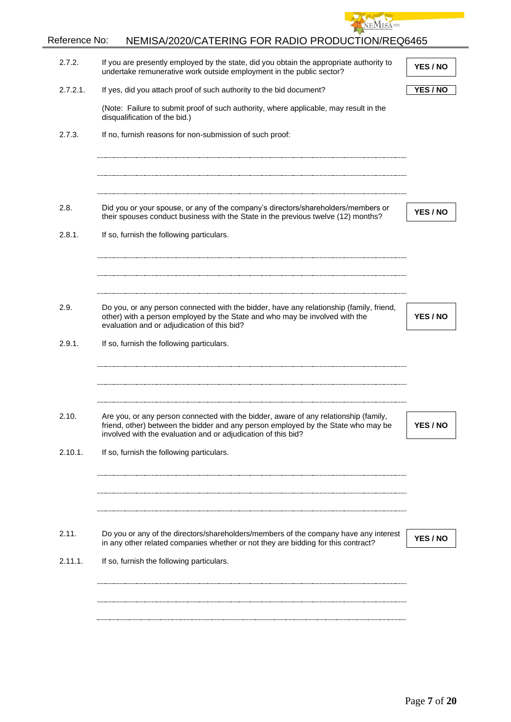

| 2.7.2.   | If you are presently employed by the state, did you obtain the appropriate authority to<br>undertake remunerative work outside employment in the public sector?                                                                            | YES / NO |
|----------|--------------------------------------------------------------------------------------------------------------------------------------------------------------------------------------------------------------------------------------------|----------|
| 2.7.2.1. | If yes, did you attach proof of such authority to the bid document?                                                                                                                                                                        | YES / NO |
|          | (Note: Failure to submit proof of such authority, where applicable, may result in the<br>disqualification of the bid.)                                                                                                                     |          |
| 2.7.3.   | If no, furnish reasons for non-submission of such proof:                                                                                                                                                                                   |          |
|          |                                                                                                                                                                                                                                            |          |
|          |                                                                                                                                                                                                                                            |          |
| 2.8.     | Did you or your spouse, or any of the company's directors/shareholders/members or<br>their spouses conduct business with the State in the previous twelve (12) months?                                                                     | YES / NO |
| 2.8.1.   | If so, furnish the following particulars.                                                                                                                                                                                                  |          |
|          |                                                                                                                                                                                                                                            |          |
|          |                                                                                                                                                                                                                                            |          |
| 2.9.     | Do you, or any person connected with the bidder, have any relationship (family, friend,<br>other) with a person employed by the State and who may be involved with the<br>evaluation and or adjudication of this bid?                      | YES / NO |
| 2.9.1.   | If so, furnish the following particulars.                                                                                                                                                                                                  |          |
|          |                                                                                                                                                                                                                                            |          |
|          |                                                                                                                                                                                                                                            |          |
| 2.10.    | Are you, or any person connected with the bidder, aware of any relationship (family,<br>friend, other) between the bidder and any person employed by the State who may be<br>involved with the evaluation and or adjudication of this bid? | YES / NO |
| 2.10.1.  | If so, furnish the following particulars.                                                                                                                                                                                                  |          |
|          |                                                                                                                                                                                                                                            |          |
|          |                                                                                                                                                                                                                                            |          |
| 2.11.    | Do you or any of the directors/shareholders/members of the company have any interest<br>in any other related companies whether or not they are bidding for this contract?                                                                  | YES / NO |
| 2.11.1.  | If so, furnish the following particulars.                                                                                                                                                                                                  |          |
|          |                                                                                                                                                                                                                                            |          |
|          |                                                                                                                                                                                                                                            |          |
|          |                                                                                                                                                                                                                                            |          |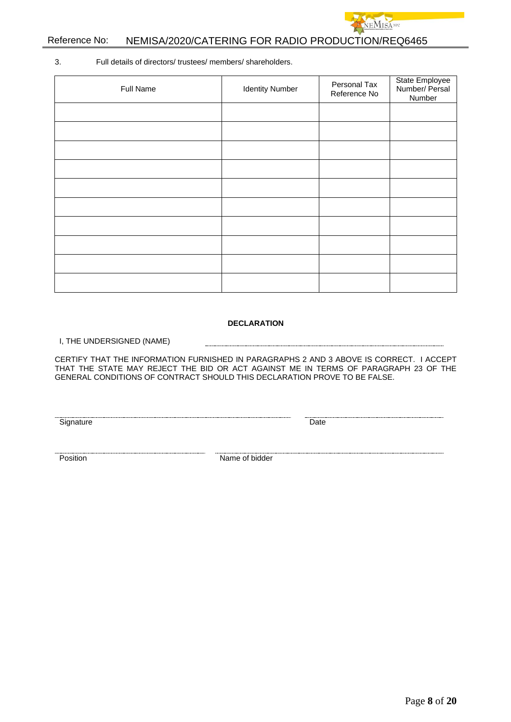

3. Full details of directors/ trustees/ members/ shareholders.

| Full Name | <b>Identity Number</b> | Personal Tax<br>Reference No | State Employee<br>Number/ Persal<br>Number |
|-----------|------------------------|------------------------------|--------------------------------------------|
|           |                        |                              |                                            |
|           |                        |                              |                                            |
|           |                        |                              |                                            |
|           |                        |                              |                                            |
|           |                        |                              |                                            |
|           |                        |                              |                                            |
|           |                        |                              |                                            |
|           |                        |                              |                                            |
|           |                        |                              |                                            |
|           |                        |                              |                                            |

#### **DECLARATION**

I, THE UNDERSIGNED (NAME)

CERTIFY THAT THE INFORMATION FURNISHED IN PARAGRAPHS 2 AND 3 ABOVE IS CORRECT. I ACCEPT THAT THE STATE MAY REJECT THE BID OR ACT AGAINST ME IN TERMS OF PARAGRAPH 23 OF THE GENERAL CONDITIONS OF CONTRACT SHOULD THIS DECLARATION PROVE TO BE FALSE.

Signature Date

**Position** Name of bidder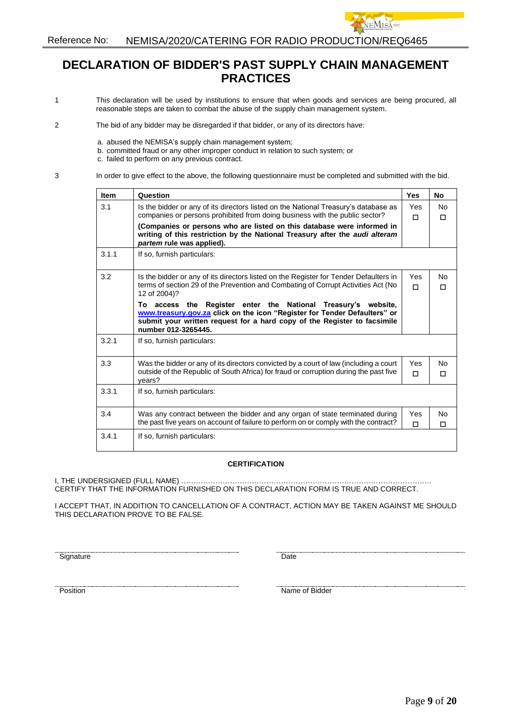# **DECLARATION OF BIDDER'S PAST SUPPLY CHAIN MANAGEMENT PRACTICES**

**EMISAND** 

- 1 This declaration will be used by institutions to ensure that when goods and services are being procured, all reasonable steps are taken to combat the abuse of the supply chain management system.
- 2 The bid of any bidder may be disregarded if that bidder, or any of its directors have:
	- a. abused the NEMISA's supply chain management system;
	- b. committed fraud or any other improper conduct in relation to such system; or
		- c. failed to perform on any previous contract.
- 3 In order to give effect to the above, the following questionnaire must be completed and submitted with the bid.

| <b>Item</b> | Question                                                                                                                                                                                                                                      | <b>Yes</b>      | <b>No</b> |
|-------------|-----------------------------------------------------------------------------------------------------------------------------------------------------------------------------------------------------------------------------------------------|-----------------|-----------|
| 3.1         | Is the bidder or any of its directors listed on the National Treasury's database as<br>companies or persons prohibited from doing business with the public sector?                                                                            | Yes<br>п        | No<br>П   |
|             | (Companies or persons who are listed on this database were informed in<br>writing of this restriction by the National Treasury after the audi alteram<br>partem rule was applied).                                                            |                 |           |
| 3.1.1       | If so, furnish particulars:                                                                                                                                                                                                                   |                 |           |
| 3.2         | Is the bidder or any of its directors listed on the Register for Tender Defaulters in<br>terms of section 29 of the Prevention and Combating of Corrupt Activities Act (No<br>12 of 2004)?                                                    | <b>Yes</b><br>п | N٥<br>п   |
|             | To access the Register enter the National Treasury's website,<br>www.treasury.gov.za click on the icon "Register for Tender Defaulters" or<br>submit your written request for a hard copy of the Register to facsimile<br>number 012-3265445. |                 |           |
| 3.2.1       | If so, furnish particulars:                                                                                                                                                                                                                   |                 |           |
| 3.3         | Was the bidder or any of its directors convicted by a court of law (including a court<br>outside of the Republic of South Africa) for fraud or corruption during the past five<br>years?                                                      | Yes<br>п        | No<br>П   |
| 3.3.1       | If so, furnish particulars:                                                                                                                                                                                                                   |                 |           |
| 3.4         | Was any contract between the bidder and any organ of state terminated during<br>the past five years on account of failure to perform on or comply with the contract?                                                                          | Yes<br>П        | N٥<br>П   |
| 3.4.1       | If so, furnish particulars:                                                                                                                                                                                                                   |                 |           |

#### **CERTIFICATION**

I, THE UNDERSIGNED (FULL NAME) …………………………………………………………………………………………. CERTIFY THAT THE INFORMATION FURNISHED ON THIS DECLARATION FORM IS TRUE AND CORRECT.

I ACCEPT THAT, IN ADDITION TO CANCELLATION OF A CONTRACT, ACTION MAY BE TAKEN AGAINST ME SHOULD THIS DECLARATION PROVE TO BE FALSE.

Signature Date

<u>Position</u> Name of Bidder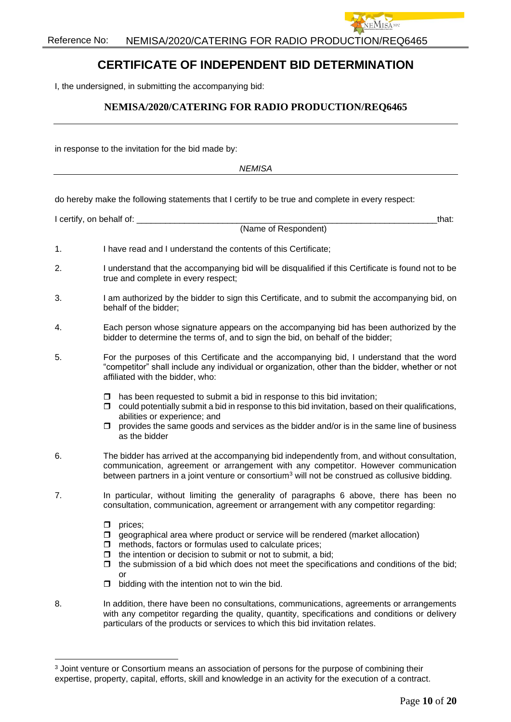

# **CERTIFICATE OF INDEPENDENT BID DETERMINATION**

I, the undersigned, in submitting the accompanying bid:

### **NEMISA/2020/CATERING FOR RADIO PRODUCTION/REQ6465**

in response to the invitation for the bid made by:

*NEMISA*

do hereby make the following statements that I certify to be true and complete in every respect:

|    | I certify, on behalf of: __<br>that:                                                                                                                                                                                                                                                                                                                                                                     |
|----|----------------------------------------------------------------------------------------------------------------------------------------------------------------------------------------------------------------------------------------------------------------------------------------------------------------------------------------------------------------------------------------------------------|
|    | (Name of Respondent)                                                                                                                                                                                                                                                                                                                                                                                     |
| 1. | I have read and I understand the contents of this Certificate;                                                                                                                                                                                                                                                                                                                                           |
| 2. | I understand that the accompanying bid will be disqualified if this Certificate is found not to be<br>true and complete in every respect;                                                                                                                                                                                                                                                                |
| 3. | I am authorized by the bidder to sign this Certificate, and to submit the accompanying bid, on<br>behalf of the bidder;                                                                                                                                                                                                                                                                                  |
| 4. | Each person whose signature appears on the accompanying bid has been authorized by the<br>bidder to determine the terms of, and to sign the bid, on behalf of the bidder;                                                                                                                                                                                                                                |
| 5. | For the purposes of this Certificate and the accompanying bid, I understand that the word<br>"competitor" shall include any individual or organization, other than the bidder, whether or not<br>affiliated with the bidder, who:                                                                                                                                                                        |
|    | has been requested to submit a bid in response to this bid invitation;<br>□<br>could potentially submit a bid in response to this bid invitation, based on their qualifications,<br>□<br>abilities or experience; and<br>provides the same goods and services as the bidder and/or is in the same line of business<br>σ.<br>as the bidder                                                                |
| 6. | The bidder has arrived at the accompanying bid independently from, and without consultation,<br>communication, agreement or arrangement with any competitor. However communication<br>between partners in a joint venture or consortium <sup>3</sup> will not be construed as collusive bidding.                                                                                                         |
| 7. | In particular, without limiting the generality of paragraphs 6 above, there has been no<br>consultation, communication, agreement or arrangement with any competitor regarding:                                                                                                                                                                                                                          |
|    | prices;<br>□<br>geographical area where product or service will be rendered (market allocation)<br>0<br>methods, factors or formulas used to calculate prices;<br>□<br>the intention or decision to submit or not to submit, a bid;<br>σ.<br>the submission of a bid which does not meet the specifications and conditions of the bid;<br>0<br>or<br>bidding with the intention not to win the bid.<br>□ |
| 8. | In addition, there have been no consultations, communications, agreements or arrangements<br>with any competitor regarding the quality, quantity, specifications and conditions or delivery<br>particulars of the products or services to which this bid invitation relates.                                                                                                                             |

<sup>&</sup>lt;sup>3</sup> Joint venture or Consortium means an association of persons for the purpose of combining their expertise, property, capital, efforts, skill and knowledge in an activity for the execution of a contract.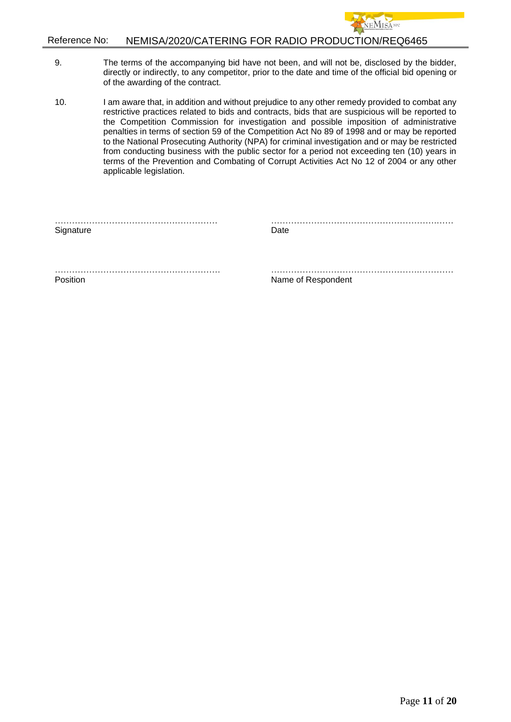

- 9. The terms of the accompanying bid have not been, and will not be, disclosed by the bidder, directly or indirectly, to any competitor, prior to the date and time of the official bid opening or of the awarding of the contract.
- 10. I am aware that, in addition and without prejudice to any other remedy provided to combat any restrictive practices related to bids and contracts, bids that are suspicious will be reported to the Competition Commission for investigation and possible imposition of administrative penalties in terms of section 59 of the Competition Act No 89 of 1998 and or may be reported to the National Prosecuting Authority (NPA) for criminal investigation and or may be restricted from conducting business with the public sector for a period not exceeding ten (10) years in terms of the Prevention and Combating of Corrupt Activities Act No 12 of 2004 or any other applicable legislation.

………………………………………………… ………………………………………………….……

Signature Date

…………………………………………………. …………………………………………….………… Position **Name of Respondent**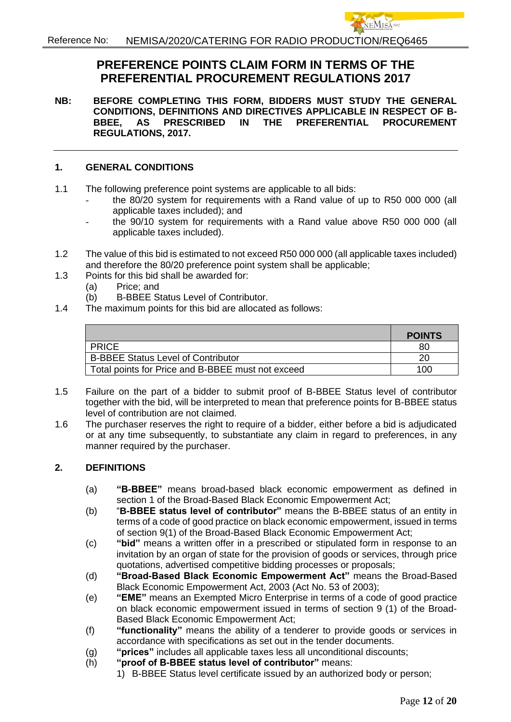# **PREFERENCE POINTS CLAIM FORM IN TERMS OF THE PREFERENTIAL PROCUREMENT REGULATIONS 2017**

**NB: BEFORE COMPLETING THIS FORM, BIDDERS MUST STUDY THE GENERAL CONDITIONS, DEFINITIONS AND DIRECTIVES APPLICABLE IN RESPECT OF B-BBEE, AS PRESCRIBED IN THE PREFERENTIAL PROCUREMENT REGULATIONS, 2017.** 

### **1. GENERAL CONDITIONS**

- 1.1 The following preference point systems are applicable to all bids:
	- the 80/20 system for requirements with a Rand value of up to R50 000 000 (all applicable taxes included); and
	- the 90/10 system for requirements with a Rand value above R50 000 000 (all applicable taxes included).
- 1.2 The value of this bid is estimated to not exceed R50 000 000 (all applicable taxes included) and therefore the 80/20 preference point system shall be applicable;
- 1.3 Points for this bid shall be awarded for:
	- (a) Price; and
	- (b) B-BBEE Status Level of Contributor.
- 1.4 The maximum points for this bid are allocated as follows:

|                                                   | <b>POINTS</b> |
|---------------------------------------------------|---------------|
| <b>PRICE</b>                                      | 80            |
| <b>B-BBEE Status Level of Contributor</b>         | 20            |
| Total points for Price and B-BBEE must not exceed | 100           |

- 1.5 Failure on the part of a bidder to submit proof of B-BBEE Status level of contributor together with the bid, will be interpreted to mean that preference points for B-BBEE status level of contribution are not claimed.
- 1.6 The purchaser reserves the right to require of a bidder, either before a bid is adjudicated or at any time subsequently, to substantiate any claim in regard to preferences, in any manner required by the purchaser.

## **2. DEFINITIONS**

- (a) **"B-BBEE"** means broad-based black economic empowerment as defined in section 1 of the Broad-Based Black Economic Empowerment Act;
- (b) "**B-BBEE status level of contributor"** means the B-BBEE status of an entity in terms of a code of good practice on black economic empowerment, issued in terms of section 9(1) of the Broad-Based Black Economic Empowerment Act;
- (c) **"bid"** means a written offer in a prescribed or stipulated form in response to an invitation by an organ of state for the provision of goods or services, through price quotations, advertised competitive bidding processes or proposals;
- (d) **"Broad-Based Black Economic Empowerment Act"** means the Broad-Based Black Economic Empowerment Act, 2003 (Act No. 53 of 2003);
- (e) **"EME"** means an Exempted Micro Enterprise in terms of a code of good practice on black economic empowerment issued in terms of section 9 (1) of the Broad-Based Black Economic Empowerment Act;
- (f) **"functionality"** means the ability of a tenderer to provide goods or services in accordance with specifications as set out in the tender documents.
- (g) **"prices"** includes all applicable taxes less all unconditional discounts;
- (h) **"proof of B-BBEE status level of contributor"** means:
	- 1) B-BBEE Status level certificate issued by an authorized body or person;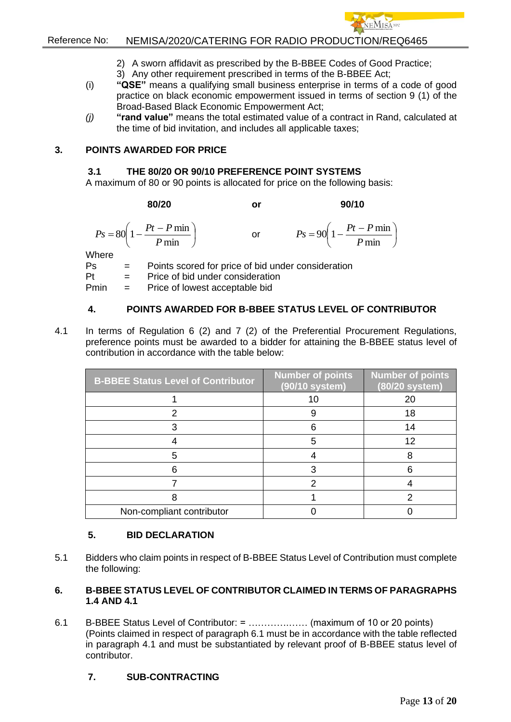

  $\bigg)$ 

## Reference No: NEMISA/2020/CATERING FOR RADIO PRODUCTION/REQ6465

- 2) A sworn affidavit as prescribed by the B-BBEE Codes of Good Practice;
- 3) Any other requirement prescribed in terms of the B-BBEE Act;
- (i) **"QSE"** means a qualifying small business enterprise in terms of a code of good practice on black economic empowerment issued in terms of section 9 (1) of the Broad-Based Black Economic Empowerment Act;
- *(j)* **"rand value"** means the total estimated value of a contract in Rand, calculated at the time of bid invitation, and includes all applicable taxes;

### **3. POINTS AWARDED FOR PRICE**

#### **3.1 THE 80/20 OR 90/10 PREFERENCE POINT SYSTEMS**

A maximum of 80 or 90 points is allocated for price on the following basis:

**80/20 or 90/10**

 $\overline{\phantom{a}}$ J  $\left(1-\frac{Pt-P\min}{P}\right)$  $\setminus$  $=80\left(1-\frac{Pt}{\sqrt{2}}\right)$ min  $80\left(1-\frac{Pt-P\min}{\sum_{i=1}^{n}H_i}\right)$ *P*  $P_s = 80 \left( 1 - \frac{Pt - P}{r} \right)$ or  $\left(1-\frac{Pt-P\min}{R}\right)$  $\setminus$  $= 90 \left( 1 - \frac{Pt - }{F} \right)$ min  $90\left(1-\frac{Pt-P\min}{1-\frac{F-T}{1-\min}}\right)$ *P*  $P_s = 90 \left( 1 - \frac{Pt - P}{\frac{F}{c}} \right)$ 

Where

Ps = Points scored for price of bid under consideration

Pt = Price of bid under consideration

Pmin = Price of lowest acceptable bid

## **4. POINTS AWARDED FOR B-BBEE STATUS LEVEL OF CONTRIBUTOR**

4.1 In terms of Regulation 6 (2) and 7 (2) of the Preferential Procurement Regulations, preference points must be awarded to a bidder for attaining the B-BBEE status level of contribution in accordance with the table below:

| <b>B-BBEE Status Level of Contributor</b> | <b>Number of points</b><br>(90/10 system) | <b>Number of points</b><br>(80/20 system) |
|-------------------------------------------|-------------------------------------------|-------------------------------------------|
|                                           | 10                                        | 20                                        |
|                                           |                                           | 18                                        |
|                                           |                                           | 14                                        |
|                                           |                                           | 12                                        |
| 5                                         |                                           |                                           |
|                                           |                                           |                                           |
|                                           |                                           |                                           |
|                                           |                                           |                                           |
| Non-compliant contributor                 |                                           |                                           |

## **5. BID DECLARATION**

5.1 Bidders who claim points in respect of B-BBEE Status Level of Contribution must complete the following:

### **6. B-BBEE STATUS LEVEL OF CONTRIBUTOR CLAIMED IN TERMS OF PARAGRAPHS 1.4 AND 4.1**

6.1 B-BBEE Status Level of Contributor: = ………….…… (maximum of 10 or 20 points) (Points claimed in respect of paragraph 6.1 must be in accordance with the table reflected in paragraph 4.1 and must be substantiated by relevant proof of B-BBEE status level of contributor.

## **7. SUB-CONTRACTING**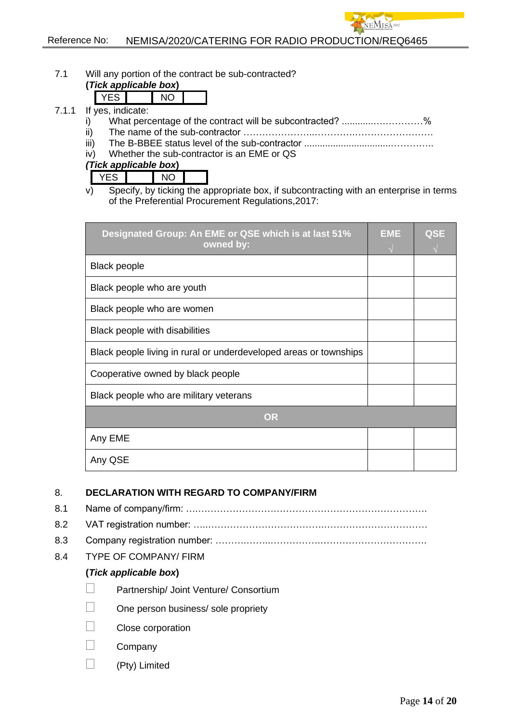7.1 Will any portion of the contract be sub-contracted?

#### **(***Tick applicable box***)**

- 7.1.1 If yes, indicate:
	- i) What percentage of the contract will be subcontracted? ..........................%
	- ii) The name of the sub-contractor …………………..………….…………………….
	- iii) The B-BBEE status level of the sub-contractor .................................…………..
	- iv) Whether the sub-contractor is an EME or QS

*(Tick applicable box***)**

| ້ |  | . . |  |
|---|--|-----|--|
|---|--|-----|--|

v) Specify, by ticking the appropriate box, if subcontracting with an enterprise in terms of the Preferential Procurement Regulations,2017:

| Designated Group: An EME or QSE which is at last 51%<br>owned by: | <b>EME</b> | QSE |
|-------------------------------------------------------------------|------------|-----|
| <b>Black people</b>                                               |            |     |
| Black people who are youth                                        |            |     |
| Black people who are women                                        |            |     |
| Black people with disabilities                                    |            |     |
| Black people living in rural or underdeveloped areas or townships |            |     |
| Cooperative owned by black people                                 |            |     |
| Black people who are military veterans                            |            |     |
| <b>OR</b>                                                         |            |     |
| Any EME                                                           |            |     |
| Any QSE                                                           |            |     |

## 8. **DECLARATION WITH REGARD TO COMPANY/FIRM**

- 8.1 Name of company/firm: ….………………………………………………………………. 8.2 VAT registration number: …..……………………………….……………………………
- 8.3 Company registration number: ……….……..…………….…………………………….
- 8.4 TYPE OF COMPANY/ FIRM

## **(***Tick applicable box***)**

- Partnership/ Joint Venture/ Consortium
- One person business/ sole propriety
- Close corporation
- Company
- (Pty) Limited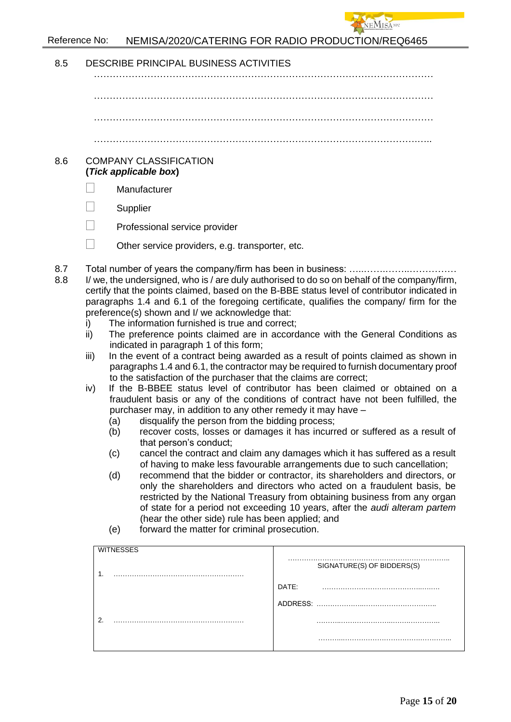

| 8.5        | DESCRIBE PRINCIPAL BUSINESS ACTIVITIES                                                                                                                                                                                                                                                                                                                                                                                                                                                                                                                                                                                                                                                                                                                                                                                                                                                                                                                                                                                                                                                                                                                                                                                                                                                                                                                                                                                                                                                                                                                                                                                                                                                                                                                                                                                                                                                                                                               |                                     |  |
|------------|------------------------------------------------------------------------------------------------------------------------------------------------------------------------------------------------------------------------------------------------------------------------------------------------------------------------------------------------------------------------------------------------------------------------------------------------------------------------------------------------------------------------------------------------------------------------------------------------------------------------------------------------------------------------------------------------------------------------------------------------------------------------------------------------------------------------------------------------------------------------------------------------------------------------------------------------------------------------------------------------------------------------------------------------------------------------------------------------------------------------------------------------------------------------------------------------------------------------------------------------------------------------------------------------------------------------------------------------------------------------------------------------------------------------------------------------------------------------------------------------------------------------------------------------------------------------------------------------------------------------------------------------------------------------------------------------------------------------------------------------------------------------------------------------------------------------------------------------------------------------------------------------------------------------------------------------------|-------------------------------------|--|
|            |                                                                                                                                                                                                                                                                                                                                                                                                                                                                                                                                                                                                                                                                                                                                                                                                                                                                                                                                                                                                                                                                                                                                                                                                                                                                                                                                                                                                                                                                                                                                                                                                                                                                                                                                                                                                                                                                                                                                                      |                                     |  |
|            |                                                                                                                                                                                                                                                                                                                                                                                                                                                                                                                                                                                                                                                                                                                                                                                                                                                                                                                                                                                                                                                                                                                                                                                                                                                                                                                                                                                                                                                                                                                                                                                                                                                                                                                                                                                                                                                                                                                                                      |                                     |  |
|            |                                                                                                                                                                                                                                                                                                                                                                                                                                                                                                                                                                                                                                                                                                                                                                                                                                                                                                                                                                                                                                                                                                                                                                                                                                                                                                                                                                                                                                                                                                                                                                                                                                                                                                                                                                                                                                                                                                                                                      |                                     |  |
|            |                                                                                                                                                                                                                                                                                                                                                                                                                                                                                                                                                                                                                                                                                                                                                                                                                                                                                                                                                                                                                                                                                                                                                                                                                                                                                                                                                                                                                                                                                                                                                                                                                                                                                                                                                                                                                                                                                                                                                      |                                     |  |
| 8.6        | <b>COMPANY CLASSIFICATION</b><br>(Tick applicable box)                                                                                                                                                                                                                                                                                                                                                                                                                                                                                                                                                                                                                                                                                                                                                                                                                                                                                                                                                                                                                                                                                                                                                                                                                                                                                                                                                                                                                                                                                                                                                                                                                                                                                                                                                                                                                                                                                               |                                     |  |
|            | Manufacturer                                                                                                                                                                                                                                                                                                                                                                                                                                                                                                                                                                                                                                                                                                                                                                                                                                                                                                                                                                                                                                                                                                                                                                                                                                                                                                                                                                                                                                                                                                                                                                                                                                                                                                                                                                                                                                                                                                                                         |                                     |  |
|            | Supplier                                                                                                                                                                                                                                                                                                                                                                                                                                                                                                                                                                                                                                                                                                                                                                                                                                                                                                                                                                                                                                                                                                                                                                                                                                                                                                                                                                                                                                                                                                                                                                                                                                                                                                                                                                                                                                                                                                                                             |                                     |  |
|            | Professional service provider                                                                                                                                                                                                                                                                                                                                                                                                                                                                                                                                                                                                                                                                                                                                                                                                                                                                                                                                                                                                                                                                                                                                                                                                                                                                                                                                                                                                                                                                                                                                                                                                                                                                                                                                                                                                                                                                                                                        |                                     |  |
|            |                                                                                                                                                                                                                                                                                                                                                                                                                                                                                                                                                                                                                                                                                                                                                                                                                                                                                                                                                                                                                                                                                                                                                                                                                                                                                                                                                                                                                                                                                                                                                                                                                                                                                                                                                                                                                                                                                                                                                      |                                     |  |
|            |                                                                                                                                                                                                                                                                                                                                                                                                                                                                                                                                                                                                                                                                                                                                                                                                                                                                                                                                                                                                                                                                                                                                                                                                                                                                                                                                                                                                                                                                                                                                                                                                                                                                                                                                                                                                                                                                                                                                                      |                                     |  |
| 8.7<br>8.8 | Other service providers, e.g. transporter, etc.<br>Total number of years the company/firm has been in business:<br>I/ we, the undersigned, who is / are duly authorised to do so on behalf of the company/firm,<br>certify that the points claimed, based on the B-BBE status level of contributor indicated in<br>paragraphs 1.4 and 6.1 of the foregoing certificate, qualifies the company/ firm for the<br>preference(s) shown and I/ we acknowledge that:<br>The information furnished is true and correct;<br>i)<br>The preference points claimed are in accordance with the General Conditions as<br>ii)<br>indicated in paragraph 1 of this form;<br>iii)<br>In the event of a contract being awarded as a result of points claimed as shown in<br>paragraphs 1.4 and 6.1, the contractor may be required to furnish documentary proof<br>to the satisfaction of the purchaser that the claims are correct;<br>If the B-BBEE status level of contributor has been claimed or obtained on a<br>iv)<br>fraudulent basis or any of the conditions of contract have not been fulfilled, the<br>purchaser may, in addition to any other remedy it may have -<br>disqualify the person from the bidding process;<br>(a)<br>recover costs, losses or damages it has incurred or suffered as a result of<br>(b)<br>that person's conduct;<br>cancel the contract and claim any damages which it has suffered as a result<br>(c)<br>of having to make less favourable arrangements due to such cancellation;<br>recommend that the bidder or contractor, its shareholders and directors, or<br>(d)<br>only the shareholders and directors who acted on a fraudulent basis, be<br>restricted by the National Treasury from obtaining business from any organ<br>of state for a period not exceeding 10 years, after the audi alteram partem<br>(hear the other side) rule has been applied; and<br>forward the matter for criminal prosecution.<br>(e) |                                     |  |
|            | <b>WITNESSES</b><br>1.                                                                                                                                                                                                                                                                                                                                                                                                                                                                                                                                                                                                                                                                                                                                                                                                                                                                                                                                                                                                                                                                                                                                                                                                                                                                                                                                                                                                                                                                                                                                                                                                                                                                                                                                                                                                                                                                                                                               | SIGNATURE(S) OF BIDDERS(S)<br>DATE: |  |
|            | 2.                                                                                                                                                                                                                                                                                                                                                                                                                                                                                                                                                                                                                                                                                                                                                                                                                                                                                                                                                                                                                                                                                                                                                                                                                                                                                                                                                                                                                                                                                                                                                                                                                                                                                                                                                                                                                                                                                                                                                   |                                     |  |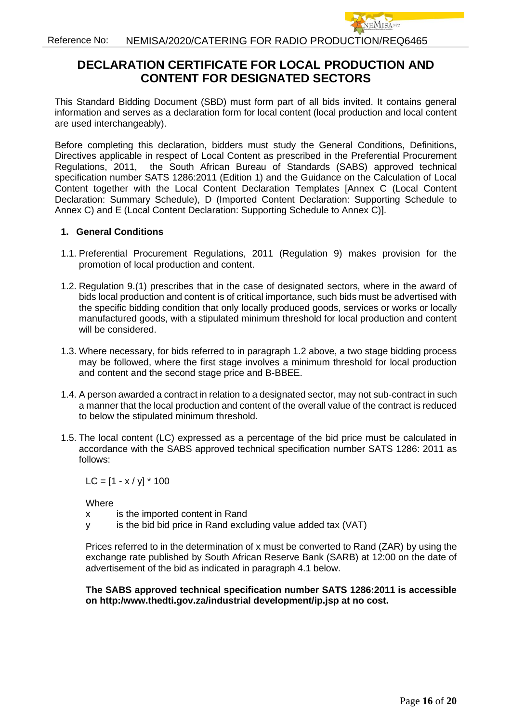# **DECLARATION CERTIFICATE FOR LOCAL PRODUCTION AND CONTENT FOR DESIGNATED SECTORS**

This Standard Bidding Document (SBD) must form part of all bids invited. It contains general information and serves as a declaration form for local content (local production and local content are used interchangeably).

Before completing this declaration, bidders must study the General Conditions, Definitions, Directives applicable in respect of Local Content as prescribed in the Preferential Procurement Regulations, 2011, the South African Bureau of Standards (SABS) approved technical specification number SATS 1286:2011 (Edition 1) and the Guidance on the Calculation of Local Content together with the Local Content Declaration Templates [Annex C (Local Content Declaration: Summary Schedule), D (Imported Content Declaration: Supporting Schedule to Annex C) and E (Local Content Declaration: Supporting Schedule to Annex C)].

#### **1. General Conditions**

- 1.1. Preferential Procurement Regulations, 2011 (Regulation 9) makes provision for the promotion of local production and content.
- 1.2. Regulation 9.(1) prescribes that in the case of designated sectors, where in the award of bids local production and content is of critical importance, such bids must be advertised with the specific bidding condition that only locally produced goods, services or works or locally manufactured goods, with a stipulated minimum threshold for local production and content will be considered.
- 1.3. Where necessary, for bids referred to in paragraph 1.2 above, a two stage bidding process may be followed, where the first stage involves a minimum threshold for local production and content and the second stage price and B-BBEE.
- 1.4. A person awarded a contract in relation to a designated sector, may not sub-contract in such a manner that the local production and content of the overall value of the contract is reduced to below the stipulated minimum threshold.
- 1.5. The local content (LC) expressed as a percentage of the bid price must be calculated in accordance with the SABS approved technical specification number SATS 1286: 2011 as follows:

 $LC = [1 - x / y] * 100$ 

**Where** 

- x is the imported content in Rand
- y is the bid bid price in Rand excluding value added tax (VAT)

Prices referred to in the determination of x must be converted to Rand (ZAR) by using the exchange rate published by South African Reserve Bank (SARB) at 12:00 on the date of advertisement of the bid as indicated in paragraph 4.1 below.

#### **The SABS approved technical specification number SATS 1286:2011 is accessible on http:/www.thedti.gov.za/industrial development/ip.jsp at no cost.**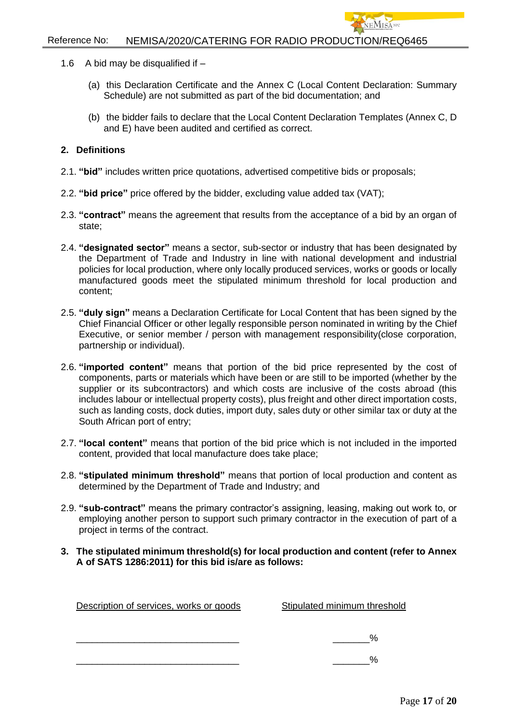- 1.6 A bid may be disqualified if  $-$ 
	- (a) this Declaration Certificate and the Annex C (Local Content Declaration: Summary Schedule) are not submitted as part of the bid documentation; and
	- (b) the bidder fails to declare that the Local Content Declaration Templates (Annex C, D and E) have been audited and certified as correct.

#### **2. Definitions**

- 2.1. **"bid"** includes written price quotations, advertised competitive bids or proposals;
- 2.2. **"bid price"** price offered by the bidder, excluding value added tax (VAT);
- 2.3. **"contract"** means the agreement that results from the acceptance of a bid by an organ of state;
- 2.4. **"designated sector"** means a sector, sub-sector or industry that has been designated by the Department of Trade and Industry in line with national development and industrial policies for local production, where only locally produced services, works or goods or locally manufactured goods meet the stipulated minimum threshold for local production and content;
- 2.5. **"duly sign"** means a Declaration Certificate for Local Content that has been signed by the Chief Financial Officer or other legally responsible person nominated in writing by the Chief Executive, or senior member / person with management responsibility(close corporation, partnership or individual).
- 2.6. **"imported content"** means that portion of the bid price represented by the cost of components, parts or materials which have been or are still to be imported (whether by the supplier or its subcontractors) and which costs are inclusive of the costs abroad (this includes labour or intellectual property costs), plus freight and other direct importation costs, such as landing costs, dock duties, import duty, sales duty or other similar tax or duty at the South African port of entry;
- 2.7. **"local content"** means that portion of the bid price which is not included in the imported content, provided that local manufacture does take place;
- 2.8. **"stipulated minimum threshold"** means that portion of local production and content as determined by the Department of Trade and Industry; and
- 2.9. **"sub-contract"** means the primary contractor's assigning, leasing, making out work to, or employing another person to support such primary contractor in the execution of part of a project in terms of the contract.
- **3. The stipulated minimum threshold(s) for local production and content (refer to Annex A of SATS 1286:2011) for this bid is/are as follows:**

| Description of services, works or goods | Stipulated minimum threshold |
|-----------------------------------------|------------------------------|
|                                         | %                            |
|                                         | %                            |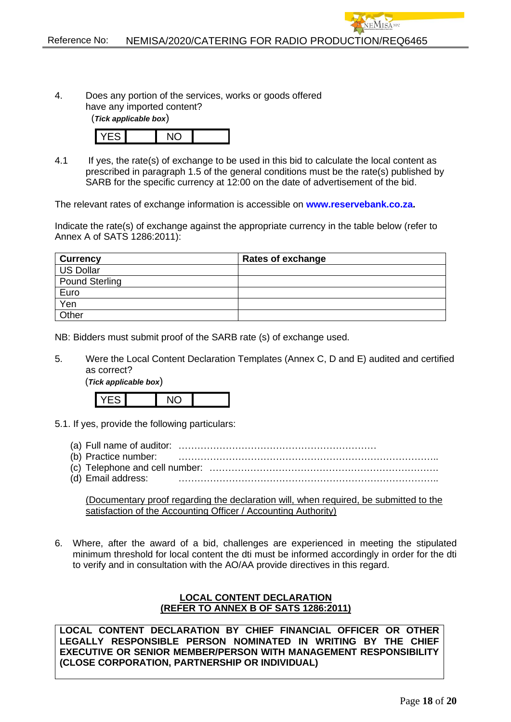4. Does any portion of the services, works or goods offered have any imported content?

(*Tick applicable box*)



4.1 If yes, the rate(s) of exchange to be used in this bid to calculate the local content as prescribed in paragraph 1.5 of the general conditions must be the rate(s) published by SARB for the specific currency at 12:00 on the date of advertisement of the bid.

The relevant rates of exchange information is accessible on **[www.reservebank.co.za.](http://www.reservebank.co.za/)**

Indicate the rate(s) of exchange against the appropriate currency in the table below (refer to Annex A of SATS 1286:2011):

| <b>Currency</b>       | Rates of exchange |
|-----------------------|-------------------|
| <b>US Dollar</b>      |                   |
| <b>Pound Sterling</b> |                   |
| Euro                  |                   |
| Yen                   |                   |
| Other                 |                   |

NB: Bidders must submit proof of the SARB rate (s) of exchange used.

5. Were the Local Content Declaration Templates (Annex C, D and E) audited and certified as correct?

(*Tick applicable box*)

YES NO

- 5.1. If yes, provide the following particulars:
	- (a) Full name of auditor: ………………………………………………………
	- (b) Practice number: ………………………………………………………………………..
	- (c) Telephone and cell number: ……………………………………………………………….
	- (d) Email address:

(Documentary proof regarding the declaration will, when required, be submitted to the satisfaction of the Accounting Officer / Accounting Authority)

6. Where, after the award of a bid, challenges are experienced in meeting the stipulated minimum threshold for local content the dti must be informed accordingly in order for the dti to verify and in consultation with the AO/AA provide directives in this regard.

#### **LOCAL CONTENT DECLARATION (REFER TO ANNEX B OF SATS 1286:2011)**

**LOCAL CONTENT DECLARATION BY CHIEF FINANCIAL OFFICER OR OTHER LEGALLY RESPONSIBLE PERSON NOMINATED IN WRITING BY THE CHIEF EXECUTIVE OR SENIOR MEMBER/PERSON WITH MANAGEMENT RESPONSIBILITY (CLOSE CORPORATION, PARTNERSHIP OR INDIVIDUAL)**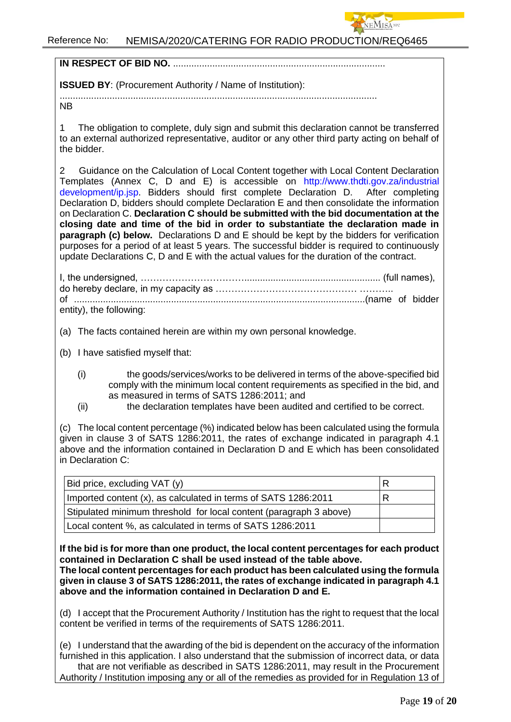

**IN RESPECT OF BID NO. ............................** 

**ISSUED BY**: (Procurement Authority / Name of Institution):

.........................................................................................................................

NB

1 The obligation to complete, duly sign and submit this declaration cannot be transferred to an external authorized representative, auditor or any other third party acting on behalf of the bidder.

2 Guidance on the Calculation of Local Content together with Local Content Declaration Templates (Annex C, D and E) is accessible on [http://www.thdti.gov.za/industrial](http://www.thdti.gov.za/industrial%20development/ip.jsp)  [development/ip.jsp.](http://www.thdti.gov.za/industrial%20development/ip.jsp) Bidders should first complete Declaration D. After completing Declaration D, bidders should complete Declaration E and then consolidate the information on Declaration C. **Declaration C should be submitted with the bid documentation at the closing date and time of the bid in order to substantiate the declaration made in paragraph (c) below.** Declarations D and E should be kept by the bidders for verification purposes for a period of at least 5 years. The successful bidder is required to continuously update Declarations C, D and E with the actual values for the duration of the contract.

I, the undersigned, …………………………….................................................... (full names), do hereby declare, in my capacity as ……………………………………… ……….. of ...............................................................................................................(name of bidder entity), the following:

(a) The facts contained herein are within my own personal knowledge.

- (b) I have satisfied myself that:
	- (i) the goods/services/works to be delivered in terms of the above-specified bid comply with the minimum local content requirements as specified in the bid, and as measured in terms of SATS 1286:2011; and
	- (ii) the declaration templates have been audited and certified to be correct.

(c) The local content percentage (%) indicated below has been calculated using the formula given in clause 3 of SATS 1286:2011, the rates of exchange indicated in paragraph 4.1 above and the information contained in Declaration D and E which has been consolidated in Declaration C:

| Bid price, excluding VAT (y)                                       | В |
|--------------------------------------------------------------------|---|
| Imported content (x), as calculated in terms of SATS 1286:2011     | R |
| Stipulated minimum threshold for local content (paragraph 3 above) |   |
| Local content %, as calculated in terms of SATS 1286:2011          |   |

**If the bid is for more than one product, the local content percentages for each product contained in Declaration C shall be used instead of the table above.** 

**The local content percentages for each product has been calculated using the formula given in clause 3 of SATS 1286:2011, the rates of exchange indicated in paragraph 4.1 above and the information contained in Declaration D and E.**

(d) I accept that the Procurement Authority / Institution has the right to request that the local content be verified in terms of the requirements of SATS 1286:2011.

(e) I understand that the awarding of the bid is dependent on the accuracy of the information furnished in this application. I also understand that the submission of incorrect data, or data that are not verifiable as described in SATS 1286:2011, may result in the Procurement Authority / Institution imposing any or all of the remedies as provided for in Regulation 13 of